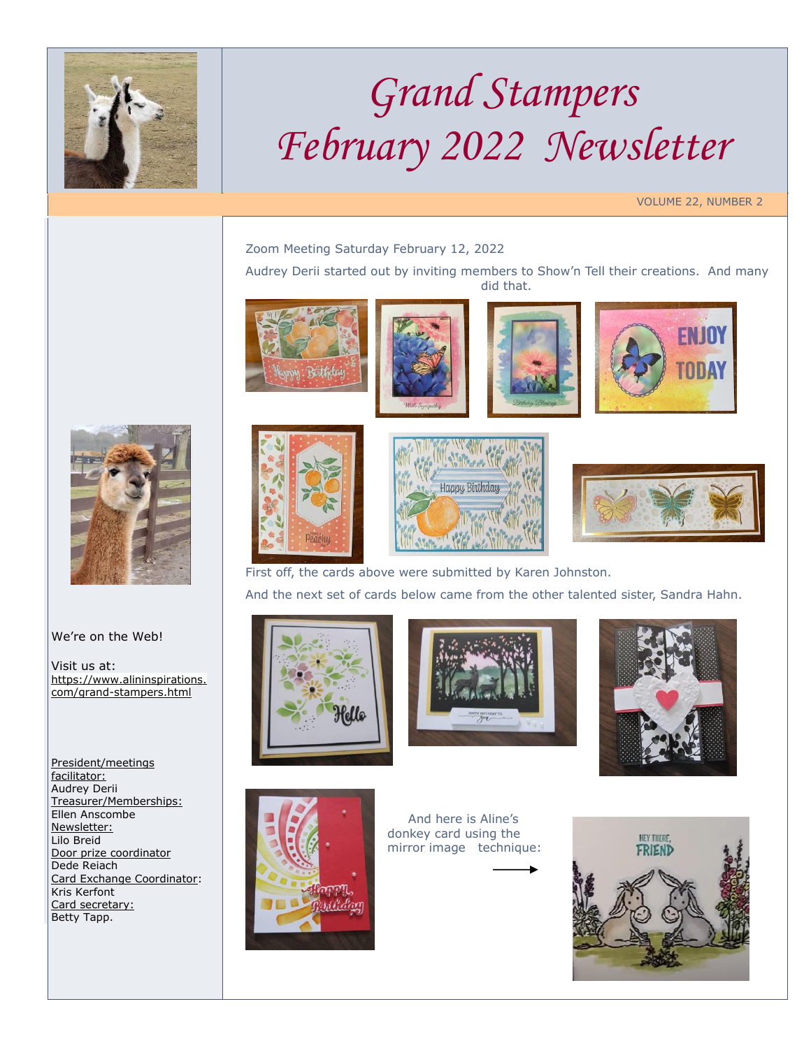

## *Grand Stampers February 2022 Newsletter*

VOLUME 22, NUMBER 2

Zoom Meeting Saturday February 12, 2022

Audrey Derii started out by inviting members to Show'n Tell their creations. And many did that.









## We're on the Web!

Visit us at: [https://www.alininspirations.](https://www.alininspirations.com/grand-stampers.html) [com/grand-stampers.html](https://www.alininspirations.com/grand-stampers.html)

President/meetings facilitator: Audrey Derii Treasurer/Memberships: Ellen Anscombe Newsletter: Lilo Breid Door prize coordinator Dede Reiach Card Exchange Coordinator: Kris Kerfont Card secretary: Betty Tapp.





First off, the cards above were submitted by Karen Johnston. And the next set of cards below came from the other talented sister, Sandra Hahn.









 And here is Aline's donkey card using the mirror image technique: